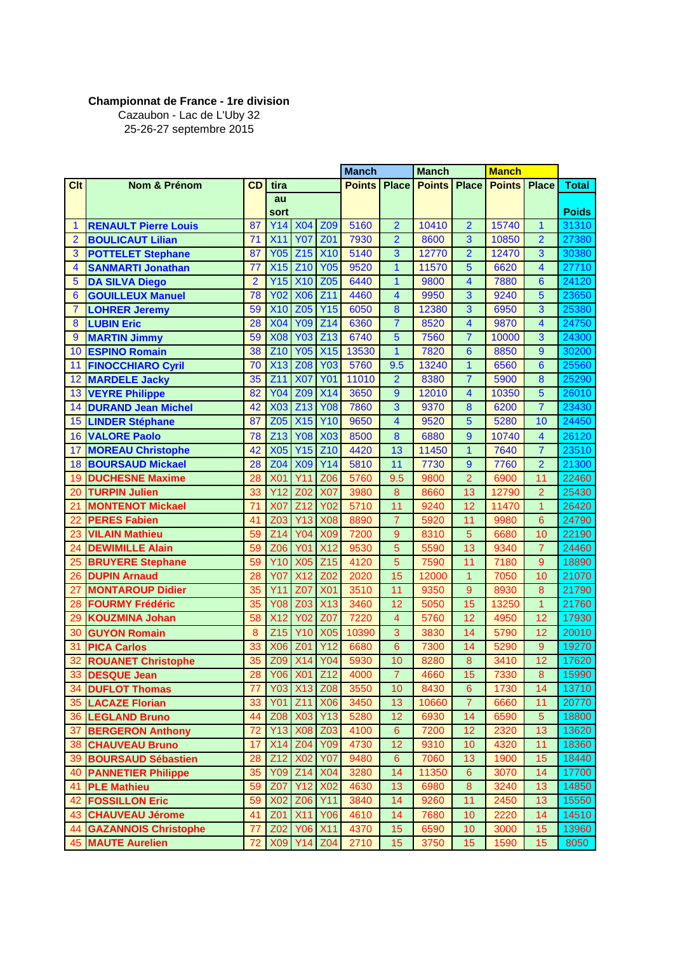## **Championnat de France - 1re division**

Cazaubon - Lac de L'Uby 32 25-26-27 septembre 2015

|                         |                             |                |                 |                 |                 | <b>Manch</b>  |                | <b>Manch</b>  |                         | <b>Manch</b>  |                         |                 |
|-------------------------|-----------------------------|----------------|-----------------|-----------------|-----------------|---------------|----------------|---------------|-------------------------|---------------|-------------------------|-----------------|
| <b>Clt</b>              | Nom & Prénom                | CD             | tira            |                 |                 | <b>Points</b> | <b>Place</b>   | <b>Points</b> | <b>Place</b>            | <b>Points</b> | <b>Place</b>            | <b>Total</b>    |
|                         |                             |                | au              |                 |                 |               |                |               |                         |               |                         |                 |
|                         |                             |                | sort            |                 |                 |               |                |               |                         |               |                         | <b>Poids</b>    |
| 1                       | <b>RENAULT Pierre Louis</b> | 87             | Y14             | <b>X04</b>      | Z <sub>09</sub> | 5160          | $\overline{2}$ | 10410         | $\overline{2}$          | 15740         | $\mathbf{1}$            | 31310           |
| $\overline{2}$          | <b>BOULICAUT Lilian</b>     | 71             | X11             | <b>Y07</b>      | <b>Z01</b>      | 7930          | $\overline{2}$ | 8600          | 3                       | 10850         | $\overline{2}$          | 27380           |
| 3                       | <b>POTTELET Stephane</b>    | 87             | <b>Y05</b>      | Z15             | <b>X10</b>      | 5140          | 3              | 12770         | $\overline{2}$          | 12470         | 3                       | 30380           |
| $\overline{\mathbf{4}}$ | <b>SANMARTI Jonathan</b>    | 77             | <b>X15</b>      | Z10             | <b>Y05</b>      | 9520          | $\overline{1}$ | 11570         | $\overline{5}$          | 6620          | $\overline{\mathbf{4}}$ | 27710           |
| 5                       | <b>DA SILVA Diego</b>       | $\overline{2}$ | Y15             | <b>X10</b>      | Z <sub>05</sub> | 6440          | 1              | 9800          | 4                       | 7880          | $6\phantom{1}6$         | 24120           |
| 6                       | <b>GOUILLEUX Manuel</b>     | 78             | <b>Y02</b>      | <b>X06</b>      | Z11             | 4460          | 4              | 9950          | 3                       | 9240          | 5                       | 23650           |
| $\overline{7}$          | <b>LOHRER Jeremy</b>        | 59             | <b>X10</b>      | Z <sub>05</sub> | <b>Y15</b>      | 6050          | 8              | 12380         | 3                       | 6950          | 3                       | 25380           |
| 8                       | <b>LUBIN Eric</b>           | 28             | <b>X04</b>      | <b>Y09</b>      | Z14             | 6360          | $\overline{7}$ | 8520          | $\overline{\mathbf{4}}$ | 9870          | $\overline{\mathbf{4}}$ | 24750           |
| 9                       | <b>MARTIN Jimmy</b>         | 59             | <b>X08</b>      | <b>Y03</b>      | Z <sub>13</sub> | 6740          | 5              | 7560          | $\overline{7}$          | 10000         | 3                       | 24300           |
| 10                      | <b>ESPINO Romain</b>        | 38             | Z10             | <b>Y05</b>      | <b>X15</b>      | 13530         | $\overline{1}$ | 7820          | $6\phantom{1}$          | 8850          | 9                       | 30200           |
| 11                      | <b>FINOCCHIARO Cyril</b>    | 70             | <b>X13</b>      | Z08             | <b>Y03</b>      | 5760          | 9.5            | 13240         | $\overline{1}$          | 6560          | $6\phantom{1}6$         | 25560           |
| 12                      | <b>MARDELE Jacky</b>        | 35             | Z11             | <b>X07</b>      | <b>Y01</b>      | 11010         | $\overline{2}$ | 8380          | $\overline{7}$          | 5900          | 8                       | 25290           |
| 13                      | <b>VEYRE Philippe</b>       | 82             | <b>Y04</b>      | <b>Z09</b>      | X14             | 3650          | 9              | 12010         | $\overline{\mathbf{4}}$ | 10350         | 5                       | 26010           |
| 14                      | <b>DURAND Jean Michel</b>   | 42             | <b>X03</b>      | Z <sub>13</sub> | <b>Y08</b>      | 7860          | 3              | 9370          | $\bf{8}$                | 6200          | $\overline{7}$          | 23430           |
| 15                      | <b>LINDER Stéphane</b>      | 87             | Z <sub>05</sub> | <b>X15</b>      | <b>Y10</b>      | 9650          | $\overline{4}$ | 9520          | 5                       | 5280          | 10                      | 24450           |
| 16                      | <b>VALORE Paolo</b>         | 78             | Z <sub>13</sub> | <b>Y08</b>      | <b>X03</b>      | 8500          | 8              | 6880          | 9                       | 10740         | $\overline{\mathbf{4}}$ | 26120           |
| 17                      | <b>MOREAU Christophe</b>    | 42             | X <sub>05</sub> | Y15             | $Z$ 10          | 4420          | 13             | 11450         | 1                       | 7640          | $\overline{7}$          | 23510           |
| 18                      | <b>BOURSAUD Mickael</b>     | 28             | <b>Z04</b>      | X <sub>09</sub> | Y14             | 5810          | 11             | 7730          | $\overline{9}$          | 7760          | $\overline{2}$          | 21300           |
| 19                      | <b>DUCHESNE Maxime</b>      | 28             | <b>X01</b>      | Y11             | Z06             | 5760          | 9.5            | 9800          | $\overline{2}$          | 6900          | 11                      | 22460           |
| 20                      | <b>TURPIN Julien</b>        | 33             | Y12             | Z <sub>02</sub> | <b>X07</b>      | 3980          | 8              | 8660          | 13                      | 12790         | $\overline{2}$          | 25430           |
| 21                      | <b>MONTENOT Mickael</b>     | 71             | <b>X07</b>      | Z <sub>12</sub> | <b>Y02</b>      | 5710          | 11             | 9240          | 12                      | 11470         | 1                       | 26420           |
| 22                      | <b>PERES Fabien</b>         | 41             | Z <sub>03</sub> | <b>Y13</b>      | <b>X08</b>      | 8890          | $\overline{7}$ | 5920          | 11                      | 9980          | 6                       | 24790           |
| 23                      | <b>VILAIN Mathieu</b>       | 59             | Z14             | <b>Y04</b>      | <b>X09</b>      | 7200          | 9              | 8310          | 5                       | 6680          | 10                      | 22190           |
| 24                      | <b>DEWIMILLE Alain</b>      | 59             | <b>Z06</b>      | <b>Y01</b>      | <b>X12</b>      | 9530          | 5              | 5590          | 13                      | 9340          | $\overline{7}$          | 24460           |
| 25                      | <b>BRUYERE Stephane</b>     | 59             | <b>Y10</b>      | X <sub>05</sub> | Z15             | 4120          | 5              | 7590          | 11                      | 7180          | 9                       | 18890           |
| 26                      | <b>DUPIN Arnaud</b>         | 28             | <b>Y07</b>      | X <sub>12</sub> | Z <sub>02</sub> | 2020          | 15             | 12000         | $\mathbf{1}$            | 7050          | 10                      | 21070           |
| 27                      | <b>MONTAROUP Didier</b>     | 35             | <b>Y11</b>      | Z07             | <b>X01</b>      | 3510          | 11             | 9350          | $\overline{9}$          | 8930          | $\bf{8}$                | 21790           |
| 28                      | <b>FOURMY Frédéric</b>      | 35             | <b>Y08</b>      | Z <sub>03</sub> | X13             | 3460          | 12             | 5050          | 15                      | 13250         | $\overline{1}$          | 21760           |
| 29                      | <b>KOUZMINA Johan</b>       | 58             | X <sub>12</sub> | <b>Y02</b>      | Z07             | 7220          | $\overline{4}$ | 5760          | 12                      | 4950          | 12                      | 17930           |
| 30                      | <b>GUYON Romain</b>         | 8              | Z15             | <b>Y10</b>      | <b>X05</b>      | 10390         | 3              | 3830          | 14                      | 5790          | 12                      | 20010           |
| 31                      | <b>PICA Carlos</b>          | 33             | <b>X06</b>      | Z <sub>01</sub> | <b>Y12</b>      | 6680          | 6              | 7300          | 14                      | 5290          | $\overline{9}$          | 19270           |
| 32                      | <b>ROUANET Christophe</b>   | 35             | Z09             | <b>X14</b>      | <b>Y04</b>      | 5930          | 10             | 8280          | 8                       | 3410          | 12                      | 17620           |
|                         | 33 DESQUE Jean              |                |                 | Y06 X01 Z12     |                 | 4000          | 7              | 4660          | 15                      |               |                         |                 |
| 34                      | <b>DUFLOT Thomas</b>        | 28<br>77       |                 | Y03 X13         | Z08             | 3550          | 10             | 8430          | 6                       | 7330<br>1730  | 8<br>14                 | 15990-<br>13710 |
|                         | <b>35 LACAZE Florian</b>    | 33             | <b>Y01</b>      | Z11             | <b>X06</b>      |               | 13             |               | $\mathbf{7}$            |               |                         | 20770           |
|                         | 36 LEGLAND Bruno            | 44             | Z08             | <b>X03</b>      | <b>Y13</b>      | 3450<br>5280  | 12             | 10660<br>6930 | 14                      | 6660<br>6590  | 11<br>5                 |                 |
| 37                      | <b>BERGERON Anthony</b>     | 72             | Y13             | <b>X08</b>      | Z03             | 4100          | 6              | 7200          | 12                      | 2320          | 13                      | 18800<br>13620  |
|                         | <b>38 CHAUVEAU Bruno</b>    |                | X14             | Z04             | <b>Y09</b>      | 4730          | 12             | 9310          | 10                      |               | 11                      |                 |
|                         |                             | 17             |                 |                 |                 |               |                |               |                         | 4320          |                         | 18360           |
|                         | 39 BOURSAUD Sébastien       | 28             | Z12             | <b>X02</b>      | <b>Y07</b>      | 9480          | $6\phantom{a}$ | 7060          | 13                      | 1900          | 15                      | 18440           |
| 40                      | <b>PANNETIER Philippe</b>   | 35             | Y09             | Z14             | <b>X04</b>      | 3280          | 14             | 11350         | $6\phantom{1}$          | 3070          | 14                      | 17700           |
| 41                      | <b>PLE Mathieu</b>          | 59             | Z07             | <b>Y12</b>      | <b>X02</b>      | 4630          | 13             | 6980          | 8                       | 3240          | 13                      | 14850           |
| 42                      | <b>FOSSILLON Eric</b>       | 59             | <b>X02</b>      | Z06             | <b>Y11</b>      | 3840          | 14             | 9260          | 11                      | 2450          | 13                      | 15550           |
| 43                      | <b>CHAUVEAU Jérome</b>      | 41             | Z <sub>01</sub> | <b>X11</b>      | <b>Y06</b>      | 4610          | 14             | 7680          | 10                      | 2220          | 14                      | 14510           |
| 44                      | <b>GAZANNOIS Christophe</b> | 77             | Z02             | Y06 X11         |                 | 4370          | 15             | 6590          | 10                      | 3000          | 15                      | 13960           |
|                         | <b>45 MAUTE Aurelien</b>    | 72             | <b>X09</b>      |                 | Y14 Z04         | 2710          | 15             | 3750          | 15                      | 1590          | 15                      | 8050            |